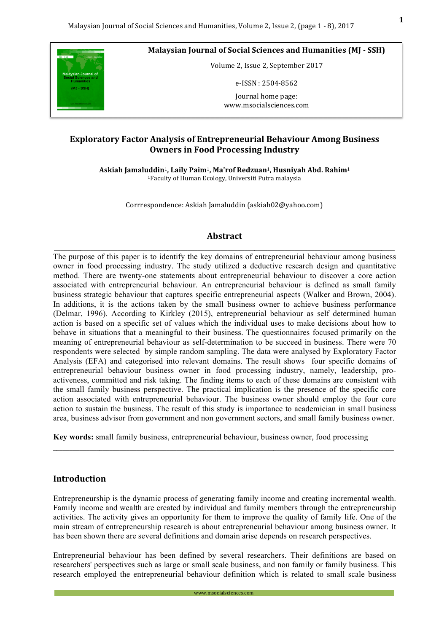

**Malaysian Journal of Social Sciences and Humanities (MJ - SSH)** 

Volume 2, Issue 2, September 2017

e-ISSN : 2504-8562

Journal home page: www.msocialsciences.com

## **Exploratory Factor Analysis of Entrepreneurial Behaviour Among Business Owners in Food Processing Industry**

**Askiah Jamaluddin**1**, Laily Paim**1**, Ma'rof Redzuan**1**, Husniyah Abd. Rahim**<sup>1</sup> <sup>1</sup>Faculty of Human Ecology, Universiti Putra malaysia

Corrrespondence: Askiah Jamaluddin (askiah02@yahoo.com)

# **Abstract**  \_\_\_\_\_\_\_\_\_\_\_\_\_\_\_\_\_\_\_\_\_\_\_\_\_\_\_\_\_\_\_\_\_\_\_\_\_\_\_\_\_\_\_\_\_\_\_\_\_\_\_\_\_\_\_\_\_\_\_\_\_\_\_\_\_\_\_\_\_\_\_\_\_\_\_\_\_\_\_\_\_\_\_\_\_\_\_\_\_\_\_\_\_\_\_\_\_\_\_\_\_\_

The purpose of this paper is to identify the key domains of entrepreneurial behaviour among business owner in food processing industry. The study utilized a deductive research design and quantitative method. There are twenty-one statements about entrepreneurial behaviour to discover a core action associated with entrepreneurial behaviour. An entrepreneurial behaviour is defined as small family business strategic behaviour that captures specific entrepreneurial aspects (Walker and Brown, 2004). In additions, it is the actions taken by the small business owner to achieve business performance (Delmar, 1996). According to Kirkley (2015), entrepreneurial behaviour as self determined human action is based on a specific set of values which the individual uses to make decisions about how to behave in situations that a meaningful to their business. The questionnaires focused primarily on the meaning of entrepreneurial behaviour as self-determination to be succeed in business. There were 70 respondents were selected by simple random sampling. The data were analysed by Exploratory Factor Analysis (EFA) and categorised into relevant domains. The result shows four specific domains of entrepreneurial behaviour business owner in food processing industry, namely, leadership, proactiveness, committed and risk taking. The finding items to each of these domains are consistent with the small family business perspective. The practical implication is the presence of the specific core action associated with entrepreneurial behaviour. The business owner should employ the four core action to sustain the business. The result of this study is importance to academician in small business area, business advisor from government and non government sectors, and small family business owner.

**Key words:** small family business, entrepreneurial behaviour, business owner, food processing

\_\_\_\_\_\_\_\_\_\_\_\_\_\_\_\_\_\_\_\_\_\_\_\_\_\_\_\_\_\_\_\_\_\_\_\_\_\_\_\_\_\_\_\_\_\_\_\_\_\_\_\_\_\_\_\_\_\_\_\_\_\_\_\_\_\_\_\_\_\_\_\_\_\_\_\_\_\_\_\_\_\_\_\_\_\_\_\_\_\_\_\_\_\_\_\_\_\_\_\_\_\_

### **Introduction**

Entrepreneurship is the dynamic process of generating family income and creating incremental wealth. Family income and wealth are created by individual and family members through the entrepreneurship activities. The activity gives an opportunity for them to improve the quality of family life. One of the main stream of entrepreneurship research is about entrepreneurial behaviour among business owner. It has been shown there are several definitions and domain arise depends on research perspectives.

Entrepreneurial behaviour has been defined by several researchers. Their definitions are based on researchers' perspectives such as large or small scale business, and non family or family business. This research employed the entrepreneurial behaviour definition which is related to small scale business

www.msocialsciences.com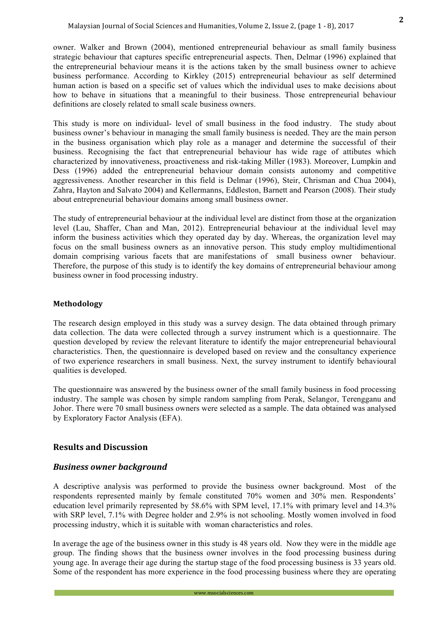This study is more on individual- level of small business in the food industry. The study about business owner's behaviour in managing the small family business is needed. They are the main person in the business organisation which play role as a manager and determine the successful of their business. Recognising the fact that entrepreneurial behaviour has wide rage of attibutes which characterized by innovativeness, proactiveness and risk-taking Miller (1983). Moreover, Lumpkin and Dess (1996) added the entrepreneurial behaviour domain consists autonomy and competitive aggressiveness. Another researcher in this field is Delmar (1996), Steir, Chrisman and Chua 2004), Zahra, Hayton and Salvato 2004) and Kellermanns, Eddleston, Barnett and Pearson (2008). Their study about entrepreneurial behaviour domains among small business owner.

The study of entrepreneurial behaviour at the individual level are distinct from those at the organization level (Lau, Shaffer, Chan and Man, 2012). Entrepreneurial behaviour at the individual level may inform the business activities which they operated day by day. Whereas, the organization level may focus on the small business owners as an innovative person. This study employ multidimentional domain comprising various facets that are manifestations of small business owner behaviour. Therefore, the purpose of this study is to identify the key domains of entrepreneurial behaviour among business owner in food processing industry.

### **Methodology**

The research design employed in this study was a survey design. The data obtained through primary data collection. The data were collected through a survey instrument which is a questionnaire. The question developed by review the relevant literature to identify the major entrepreneurial behavioural characteristics. Then, the questionnaire is developed based on review and the consultancy experience of two experience researchers in small business. Next, the survey instrument to identify behavioural qualities is developed.

The questionnaire was answered by the business owner of the small family business in food processing industry. The sample was chosen by simple random sampling from Perak, Selangor, Terengganu and Johor. There were 70 small business owners were selected as a sample. The data obtained was analysed by Exploratory Factor Analysis (EFA).

# **Results and Discussion**

### **Business owner background**

A descriptive analysis was performed to provide the business owner background. Most of the respondents represented mainly by female constituted 70% women and 30% men. Respondents' education level primarily represented by 58.6% with SPM level, 17.1% with primary level and 14.3% with SRP level, 7.1% with Degree holder and 2.9% is not schooling. Mostly women involved in food processing industry, which it is suitable with woman characteristics and roles.

In average the age of the business owner in this study is 48 years old. Now they were in the middle age group. The finding shows that the business owner involves in the food processing business during young age. In average their age during the startup stage of the food processing business is 33 years old. Some of the respondent has more experience in the food processing business where they are operating

www.msocialsciences.com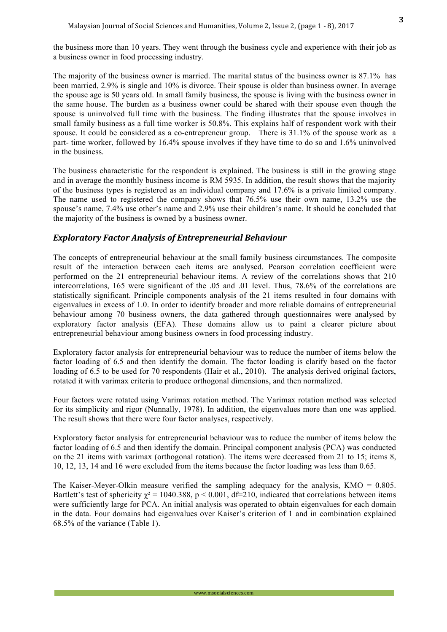the business more than 10 years. They went through the business cycle and experience with their job as a business owner in food processing industry.

The majority of the business owner is married. The marital status of the business owner is 87.1% has been married, 2.9% is single and 10% is divorce. Their spouse is older than business owner. In average the spouse age is 50 years old. In small family business, the spouse is living with the business owner in the same house. The burden as a business owner could be shared with their spouse even though the spouse is uninvolved full time with the business. The finding illustrates that the spouse involves in small family business as a full time worker is 50.8%. This explains half of respondent work with their spouse. It could be considered as a co-entrepreneur group. There is 31.1% of the spouse work as a part- time worker, followed by 16.4% spouse involves if they have time to do so and 1.6% uninvolved in the business.

The business characteristic for the respondent is explained. The business is still in the growing stage and in average the monthly business income is RM 5935. In addition, the result shows that the majority of the business types is registered as an individual company and 17.6% is a private limited company. The name used to registered the company shows that 76.5% use their own name, 13.2% use the spouse's name, 7.4% use other's name and 2.9% use their children's name. It should be concluded that the majority of the business is owned by a business owner.

## *Exploratory Factor Analysis of Entrepreneurial Behaviour*

The concepts of entrepreneurial behaviour at the small family business circumstances. The composite result of the interaction between each items are analysed. Pearson correlation coefficient were performed on the 21 entrepreneurial behaviour items. A review of the correlations shows that 210 intercorrelations, 165 were significant of the .05 and .01 level. Thus, 78.6% of the correlations are statistically significant. Principle components analysis of the 21 items resulted in four domains with eigenvalues in excess of 1.0. In order to identify broader and more reliable domains of entrepreneurial behaviour among 70 business owners, the data gathered through questionnaires were analysed by exploratory factor analysis (EFA). These domains allow us to paint a clearer picture about entrepreneurial behaviour among business owners in food processing industry.

Exploratory factor analysis for entrepreneurial behaviour was to reduce the number of items below the factor loading of 6.5 and then identify the domain. The factor loading is clarify based on the factor loading of 6.5 to be used for 70 respondents (Hair et al., 2010). The analysis derived original factors, rotated it with varimax criteria to produce orthogonal dimensions, and then normalized.

Four factors were rotated using Varimax rotation method. The Varimax rotation method was selected for its simplicity and rigor (Nunnally, 1978). In addition, the eigenvalues more than one was applied. The result shows that there were four factor analyses, respectively.

Exploratory factor analysis for entrepreneurial behaviour was to reduce the number of items below the factor loading of 6.5 and then identify the domain. Principal component analysis (PCA) was conducted on the 21 items with varimax (orthogonal rotation). The items were decreased from 21 to 15; items 8, 10, 12, 13, 14 and 16 were excluded from the items because the factor loading was less than 0.65.

The Kaiser-Meyer-Olkin measure verified the sampling adequacy for the analysis,  $KMO = 0.805$ . Bartlett's test of sphericity  $\chi^2 = 1040.388$ , p < 0.001, df=210, indicated that correlations between items were sufficiently large for PCA. An initial analysis was operated to obtain eigenvalues for each domain in the data. Four domains had eigenvalues over Kaiser's criterion of 1 and in combination explained 68.5% of the variance (Table 1).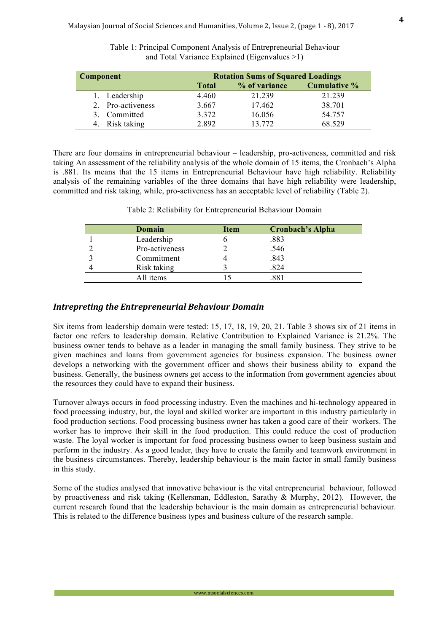| <b>Component</b> |                |              | <b>Rotation Sums of Squared Loadings</b> |                     |  |
|------------------|----------------|--------------|------------------------------------------|---------------------|--|
|                  |                | <b>Total</b> | % of variance                            | <b>Cumulative %</b> |  |
|                  | 1. Leadership  | 4.460        | 21.239                                   | 21.239              |  |
|                  | Pro-activeness | 3.667        | 17.462                                   | 38.701              |  |
| $\mathcal{F}$    | Committed      | 3.372        | 16.056                                   | 54.757              |  |
|                  | Risk taking    | 2892         | 13 772                                   | 68.529              |  |

Table 1: Principal Component Analysis of Entrepreneurial Behaviour and Total Variance Explained (Eigenvalues >1)

There are four domains in entrepreneurial behaviour – leadership, pro-activeness, committed and risk taking An assessment of the reliability analysis of the whole domain of 15 items, the Cronbach's Alpha is .881. Its means that the 15 items in Entrepreneurial Behaviour have high reliability. Reliability analysis of the remaining variables of the three domains that have high reliability were leadership, committed and risk taking, while, pro-activeness has an acceptable level of reliability (Table 2).

| Domain         | Item | <b>Cronbach's Alpha</b> |
|----------------|------|-------------------------|
| Leadership     |      | .883                    |
| Pro-activeness |      | .546                    |
| Commitment     |      | .843                    |
| Risk taking    |      | .824                    |
| All items      |      |                         |

Table 2: Reliability for Entrepreneurial Behaviour Domain

## **Intrepreting the Entrepreneurial Behaviour Domain**

Six items from leadership domain were tested: 15, 17, 18, 19, 20, 21. Table 3 shows six of 21 items in factor one refers to leadership domain. Relative Contribution to Explained Variance is 21.2%. The business owner tends to behave as a leader in managing the small family business. They strive to be given machines and loans from government agencies for business expansion. The business owner develops a networking with the government officer and shows their business ability to expand the business. Generally, the business owners get access to the information from government agencies about the resources they could have to expand their business.

Turnover always occurs in food processing industry. Even the machines and hi-technology appeared in food processing industry, but, the loyal and skilled worker are important in this industry particularly in food production sections. Food processing business owner has taken a good care of their workers. The worker has to improve their skill in the food production. This could reduce the cost of production waste. The loyal worker is important for food processing business owner to keep business sustain and perform in the industry. As a good leader, they have to create the family and teamwork environment in the business circumstances. Thereby, leadership behaviour is the main factor in small family business in this study.

Some of the studies analysed that innovative behaviour is the vital entrepreneurial behaviour, followed by proactiveness and risk taking (Kellersman, Eddleston, Sarathy & Murphy, 2012). However, the current research found that the leadership behaviour is the main domain as entrepreneurial behaviour. This is related to the difference business types and business culture of the research sample.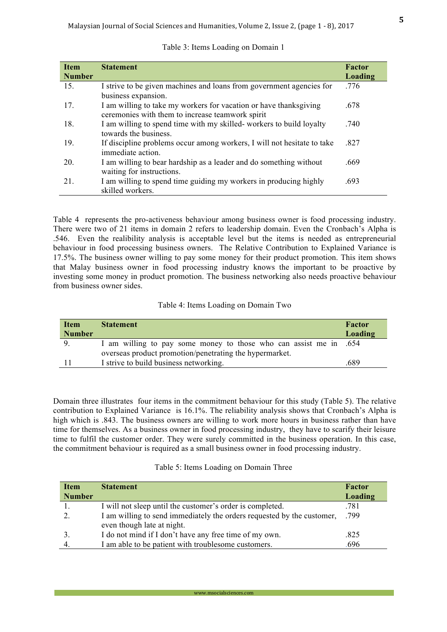**5**

| <b>Item</b>   | <b>Statement</b>                                                                                                       | Factor  |
|---------------|------------------------------------------------------------------------------------------------------------------------|---------|
| <b>Number</b> |                                                                                                                        | Loading |
| 15.           | I strive to be given machines and loans from government agencies for<br>business expansion.                            | .776    |
| 17.           | I am willing to take my workers for vacation or have thanks giving<br>ceremonies with them to increase teamwork spirit | .678    |
| 18.           | I am willing to spend time with my skilled-workers to build loyalty<br>towards the business.                           | .740    |
| 19.           | If discipline problems occur among workers, I will not hesitate to take<br>immediate action.                           | .827    |
| 20.           | I am willing to bear hardship as a leader and do something without<br>waiting for instructions.                        | .669    |
| 21.           | I am willing to spend time guiding my workers in producing highly<br>skilled workers.                                  | .693    |

### Table 3: Items Loading on Domain 1

Table 4 represents the pro-activeness behaviour among business owner is food processing industry. There were two of 21 items in domain 2 refers to leadership domain. Even the Cronbach's Alpha is .546. Even the realibility analysis is acceptable level but the items is needed as entrepreneurial behaviour in food processing business owners. The Relative Contribution to Explained Variance is 17.5%. The business owner willing to pay some money for their product promotion. This item shows that Malay business owner in food processing industry knows the important to be proactive by investing some money in product promotion. The business networking also needs proactive behaviour from business owner sides.

### Table 4: Items Loading on Domain Two

| <b>Item</b>   | <b>Statement</b>                                                  | Factor  |
|---------------|-------------------------------------------------------------------|---------|
| <b>Number</b> |                                                                   | Loading |
|               | I am willing to pay some money to those who can assist me in .654 |         |
|               | overseas product promotion/penetrating the hypermarket.           |         |
|               | I strive to build business networking.                            | .689    |

Domain three illustrates four items in the commitment behaviour for this study (Table 5). The relative contribution to Explained Variance is 16.1%. The reliability analysis shows that Cronbach's Alpha is high which is .843. The business owners are willing to work more hours in business rather than have time for themselves. As a business owner in food processing industry, they have to scarify their leisure time to fulfil the customer order. They were surely committed in the business operation. In this case, the commitment behaviour is required as a small business owner in food processing industry.

### Table 5: Items Loading on Domain Three

| <b>Item</b>   | <b>Statement</b>                                                                                     | Factor  |
|---------------|------------------------------------------------------------------------------------------------------|---------|
| <b>Number</b> |                                                                                                      | Loading |
|               | I will not sleep until the customer's order is completed.                                            | .781    |
|               | I am willing to send immediately the orders requested by the customer,<br>even though late at night. | .799    |
|               | I do not mind if I don't have any free time of my own.                                               | .825    |
|               | I am able to be patient with troublesome customers.                                                  | .696    |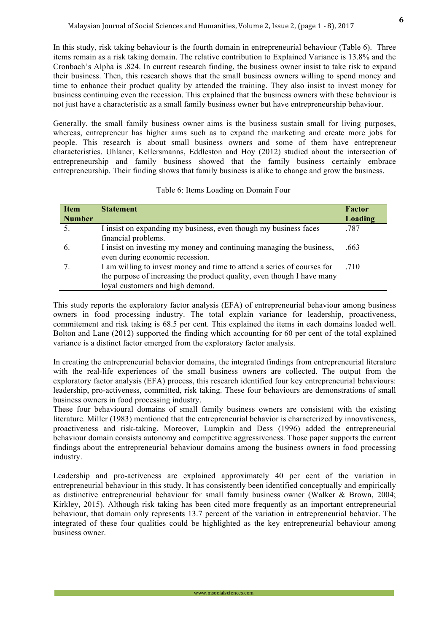In this study, risk taking behaviour is the fourth domain in entrepreneurial behaviour (Table 6). Three items remain as a risk taking domain. The relative contribution to Explained Variance is 13.8% and the Cronbach's Alpha is .824. In current research finding, the business owner insist to take risk to expand their business. Then, this research shows that the small business owners willing to spend money and time to enhance their product quality by attended the training. They also insist to invest money for business continuing even the recession. This explained that the business owners with these behaviour is not just have a characteristic as a small family business owner but have entrepreneurship behaviour.

Generally, the small family business owner aims is the business sustain small for living purposes, whereas, entrepreneur has higher aims such as to expand the marketing and create more jobs for people. This research is about small business owners and some of them have entrepreneur characteristics. Uhlaner, Kellersmanns, Eddleston and Hoy (2012) studied about the intersection of entrepreneurship and family business showed that the family business certainly embrace entrepreneurship. Their finding shows that family business is alike to change and grow the business.

| <b>Item</b>   | <b>Statement</b>                                                        | Factor  |
|---------------|-------------------------------------------------------------------------|---------|
| <b>Number</b> |                                                                         | Loading |
| .5.           | I insist on expanding my business, even though my business faces        | .787    |
|               | financial problems.                                                     |         |
| 6.            | I insist on investing my money and continuing managing the business,    | .663    |
|               | even during economic recession.                                         |         |
|               | I am willing to invest money and time to attend a series of courses for | .710    |
|               | the purpose of increasing the product quality, even though I have many  |         |
|               | loyal customers and high demand.                                        |         |

### Table 6: Items Loading on Domain Four

This study reports the exploratory factor analysis (EFA) of entrepreneurial behaviour among business owners in food processing industry. The total explain variance for leadership, proactiveness, commitement and risk taking is 68.5 per cent. This explained the items in each domains loaded well. Bolton and Lane (2012) supported the finding which accounting for 60 per cent of the total explained variance is a distinct factor emerged from the exploratory factor analysis.

In creating the entrepreneurial behavior domains, the integrated findings from entrepreneurial literature with the real-life experiences of the small business owners are collected. The output from the exploratory factor analysis (EFA) process, this research identified four key entrepreneurial behaviours: leadership, pro-activeness, committed, risk taking. These four behaviours are demonstrations of small business owners in food processing industry.

These four behavioural domains of small family business owners are consistent with the existing literature. Miller (1983) mentioned that the entrepreneurial behavior is characterized by innovativeness, proactiveness and risk-taking. Moreover, Lumpkin and Dess (1996) added the entrepreneurial behaviour domain consists autonomy and competitive aggressiveness. Those paper supports the current findings about the entrepreneurial behaviour domains among the business owners in food processing industry.

Leadership and pro-activeness are explained approximately 40 per cent of the variation in entrepreneurial behaviour in this study. It has consistently been identified conceptually and empirically as distinctive entrepreneurial behaviour for small family business owner (Walker & Brown, 2004; Kirkley, 2015). Although risk taking has been cited more frequently as an important entrepreneurial behaviour, that domain only represents 13.7 percent of the variation in entrepreneurial behavior. The integrated of these four qualities could be highlighted as the key entrepreneurial behaviour among business owner.

www.msocialsciences.com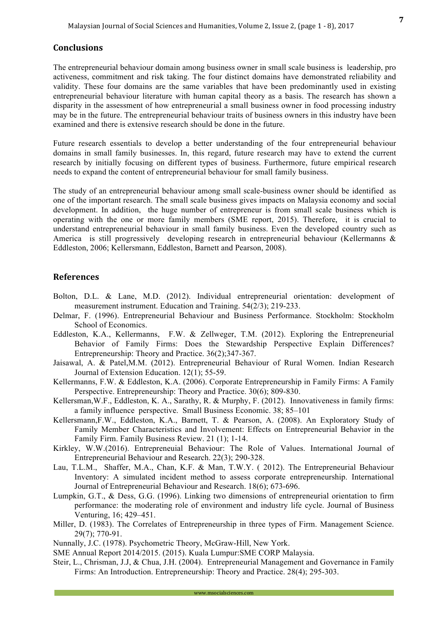The entrepreneurial behaviour domain among business owner in small scale business is leadership, pro activeness, commitment and risk taking. The four distinct domains have demonstrated reliability and validity. These four domains are the same variables that have been predominantly used in existing entrepreneurial behaviour literature with human capital theory as a basis. The research has shown a disparity in the assessment of how entrepreneurial a small business owner in food processing industry may be in the future. The entrepreneurial behaviour traits of business owners in this industry have been examined and there is extensive research should be done in the future.

Future research essentials to develop a better understanding of the four entrepreneurial behaviour domains in small family businesses. In, this regard, future research may have to extend the current research by initially focusing on different types of business. Furthermore, future empirical research needs to expand the content of entrepreneurial behaviour for small family business.

The study of an entrepreneurial behaviour among small scale-business owner should be identified as one of the important research. The small scale business gives impacts on Malaysia economy and social development. In addition, the huge number of entrepreneur is from small scale business which is operating with the one or more family members (SME report, 2015). Therefore, it is crucial to understand entrepreneurial behaviour in small family business. Even the developed country such as America is still progressively developing research in entrepreneurial behaviour (Kellermanns & Eddleston, 2006; Kellersmann, Eddleston, Barnett and Pearson, 2008).

### **References**

- Bolton, D.L. & Lane, M.D. (2012). Individual entrepreneurial orientation: development of measurement instrument. Education and Training. 54(2/3); 219-233.
- Delmar, F. (1996). Entrepreneurial Behaviour and Business Performance. Stockholm: Stockholm School of Economics.
- Eddleston, K.A., Kellermanns, F.W. & Zellweger, T.M. (2012). Exploring the Entrepreneurial Behavior of Family Firms: Does the Stewardship Perspective Explain Differences? Entrepreneurship: Theory and Practice. 36(2);347-367.
- Jaisawal, A. & Patel,M.M. (2012). Entrepreneurial Behaviour of Rural Women. Indian Research Journal of Extension Education. 12(1); 55-59.
- Kellermanns, F.W. & Eddleston, K.A. (2006). Corporate Entrepreneurship in Family Firms: A Family Perspective. Entrepreneurship: Theory and Practice. 30(6); 809-830.
- Kellersman,W.F., Eddleston, K. A., Sarathy, R. & Murphy, F. (2012). Innovativeness in family firms: a family influence perspective. Small Business Economic. 38; 85–101
- Kellersmann,F.W., Eddleston, K.A., Barnett, T. & Pearson, A. (2008). An Exploratory Study of Family Member Characteristics and Involvement: Effects on Entrepreneurial Behavior in the Family Firm. Family Business Review. 21 (1); 1-14.
- Kirkley, W.W.(2016). Entrepreneuial Behaviour: The Role of Values. International Journal of Entrepreneurial Behaviour and Research. 22(3); 290-328.
- Lau, T.L.M., Shaffer, M.A., Chan, K.F. & Man, T.W.Y. ( 2012). The Entrepreneurial Behaviour Inventory: A simulated incident method to assess corporate entrepreneurship. International Journal of Entrepreneurial Behaviour and Research. 18(6); 673-696.
- Lumpkin, G.T., & Dess, G.G. (1996). Linking two dimensions of entrepreneurial orientation to firm performance: the moderating role of environment and industry life cycle. Journal of Business Venturing, 16; 429–451.
- Miller, D. (1983). The Correlates of Entrepreneurship in three types of Firm. Management Science. 29(7); 770-91.
- Nunnally, J.C. (1978). Psychometric Theory, McGraw-Hill, New York.
- SME Annual Report 2014/2015. (2015). Kuala Lumpur:SME CORP Malaysia.
- Steir, L., Chrisman, J.J, & Chua, J.H. (2004). Entrepreneurial Management and Governance in Family Firms: An Introduction. Entrepreneurship: Theory and Practice. 28(4); 295-303.